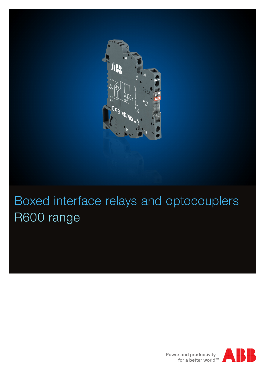

# Boxed interface relays and optocouplers R600 range



Power and productivity<br>for a better world™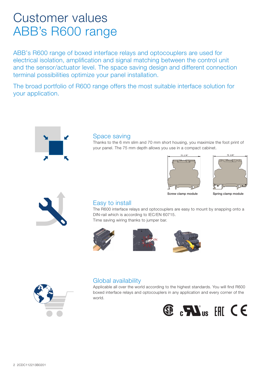## Customer values ABB's R600 range

ABB's R600 range of boxed interface relays and optocouplers are used for electrical isolation, amplification and signal matching between the control unit and the sensor/actuator level. The space saving design and different connection terminal possibilities optimize your panel installation.

The broad portfolio of R600 range offers the most suitable interface solution for your application.



#### Space saving

Thanks to the 6 mm slim and 70 mm short housing, you maximize the foot print of your panel. The 75 mm depth allows you use in a compact cabinet.





Screw clamp module Spring clamp module



#### Easy to install

The R600 interface relays and optocouplers are easy to mount by snapping onto a DIN-rail which is according to IEC/EN 60715. Time saving wiring thanks to jumper bar.









#### Global availability

Applicable all over the world according to the highest standards. You will find R600 boxed interface relays and optocouplers in any application and every corner of the world.

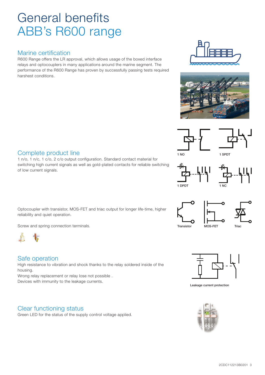## General benefits ABB's R600 range

### Marine certification

R600 Range offers the LR approval, which allows usage of the boxed interface relays and optocouplers in many applications around the marine segment. The performance of the R600 Range has proven by successfully passing tests required harshest conditions.











1 NC







Leakage current protection



#### Complete product line

1 n/o, 1 n/c, 1 c/o, 2 c/o output configuration. Standard contact material for switching high current signals as well as gold-plated contacts for reliable switching of low current signals.

Optocoupler with transistor, MOS-FET and triac output for longer life-time, higher reliability and quiet operation.

Screw and spring connection terminals.



#### Safe operation

High resistance to vibration and shock thanks to the relay soldered inside of the housing.

Wrong relay replacement or relay lose not possible . Devices with immunity to the leakage currents.

### Clear functioning status

Green LED for the status of the supply control voltage applied.